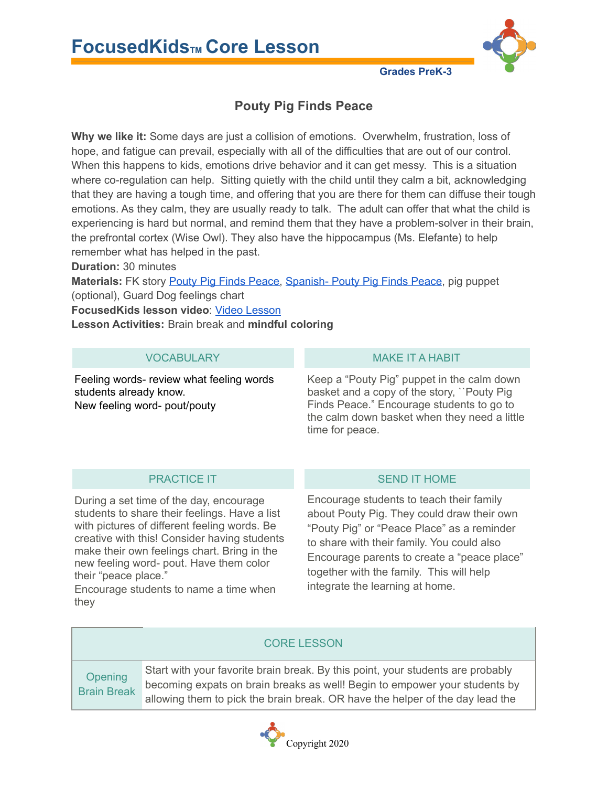



## **Grades PreK-3**

# **Pouty Pig Finds Peace**

**Why we like it:** Some days are just a collision of emotions. Overwhelm, frustration, loss of hope, and fatigue can prevail, especially with all of the difficulties that are out of our control. When this happens to kids, emotions drive behavior and it can get messy. This is a situation where co-regulation can help. Sitting quietly with the child until they calm a bit, acknowledging that they are having a tough time, and offering that you are there for them can diffuse their tough emotions. As they calm, they are usually ready to talk. The adult can offer that what the child is experiencing is hard but normal, and remind them that they have a problem-solver in their brain, the prefrontal cortex (Wise Owl). They also have the hippocampus (Ms. Elefante) to help remember what has helped in the past.

**Duration:** 30 minutes

**Materials:** FK story Pouty Pig Finds [Peace,](https://drive.google.com/open?id=10bgAzcXHVuCVTNUY7vhaEvvxbfnwgY2x) [Spanish-](https://drive.google.com/open?id=18lmn0boi_Uw0oGPFqVq6lc-pYoXTMHEs) Pouty Pig Finds Peace, pig puppet (optional), Guard Dog feelings chart

**FocusedKids lesson video**: Video [Lesson](https://us06web.zoom.us/rec/share/0JPs-o9oT1UmJLfzfWA-vQa4GMMH9LTQgLR4Gj0y8bveKYZqfcUSdjg_RYQbD_JA.CqJ3mTMn658tQkAf?startTime=1641248119000)

**Lesson Activities:** Brain break and **mindful coloring**

Feeling words- review what feeling words students already know. New feeling word- pout/pouty

### VOCABULARY MAKE IT A HABIT

Keep a "Pouty Pig" puppet in the calm down basket and a copy of the story, ``Pouty Pig Finds Peace." Encourage students to go to the calm down basket when they need a little time for peace.

During a set time of the day, encourage students to share their feelings. Have a list with pictures of different feeling words. Be creative with this! Consider having students make their own feelings chart. Bring in the new feeling word- pout. Have them color their "peace place."

Encourage students to name a time when they

### PRACTICE IT SEND IT HOME

Encourage students to teach their family about Pouty Pig. They could draw their own "Pouty Pig" or "Peace Place" as a reminder to share with their family. You could also Encourage parents to create a "peace place" together with the family. This will help integrate the learning at home.

### CORE LESSON

**Opening** Brain Break Start with your favorite brain break. By this point, your students are probably becoming expats on brain breaks as well! Begin to empower your students by allowing them to pick the brain break. OR have the helper of the day lead the

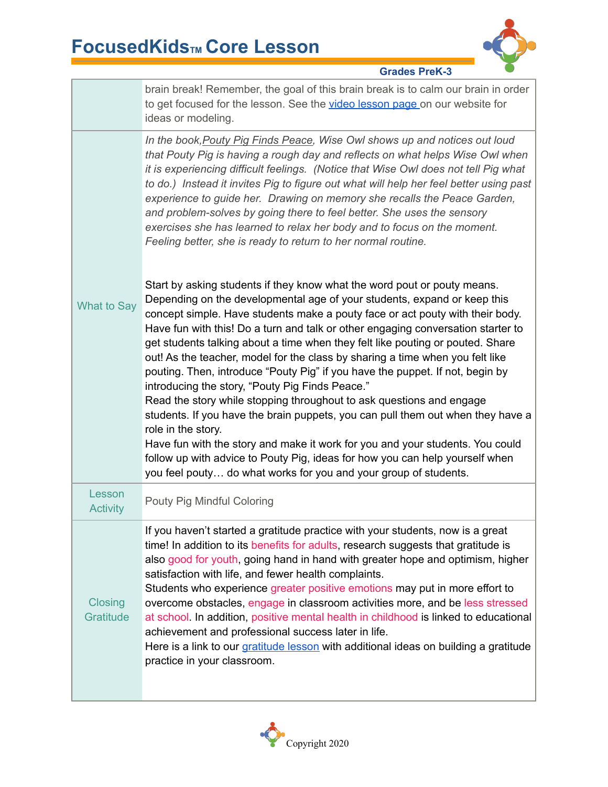

**Grades PreK-3**

|                             | brain break! Remember, the goal of this brain break is to calm our brain in order<br>to get focused for the lesson. See the video lesson page on our website for<br>ideas or modeling.                                                                                                                                                                                                                                                                                                                                                                                                                                                                                                                                                                                                      |
|-----------------------------|---------------------------------------------------------------------------------------------------------------------------------------------------------------------------------------------------------------------------------------------------------------------------------------------------------------------------------------------------------------------------------------------------------------------------------------------------------------------------------------------------------------------------------------------------------------------------------------------------------------------------------------------------------------------------------------------------------------------------------------------------------------------------------------------|
|                             | In the book, Pouty Pig Finds Peace, Wise Owl shows up and notices out loud<br>that Pouty Pig is having a rough day and reflects on what helps Wise Owl when<br>it is experiencing difficult feelings. (Notice that Wise Owl does not tell Pig what<br>to do.) Instead it invites Pig to figure out what will help her feel better using past<br>experience to guide her. Drawing on memory she recalls the Peace Garden,<br>and problem-solves by going there to feel better. She uses the sensory<br>exercises she has learned to relax her body and to focus on the moment.<br>Feeling better, she is ready to return to her normal routine.                                                                                                                                              |
| <b>What to Say</b>          | Start by asking students if they know what the word pout or pouty means.<br>Depending on the developmental age of your students, expand or keep this<br>concept simple. Have students make a pouty face or act pouty with their body.<br>Have fun with this! Do a turn and talk or other engaging conversation starter to<br>get students talking about a time when they felt like pouting or pouted. Share<br>out! As the teacher, model for the class by sharing a time when you felt like<br>pouting. Then, introduce "Pouty Pig" if you have the puppet. If not, begin by<br>introducing the story, "Pouty Pig Finds Peace."<br>Read the story while stopping throughout to ask questions and engage<br>students. If you have the brain puppets, you can pull them out when they have a |
|                             | role in the story.<br>Have fun with the story and make it work for you and your students. You could<br>follow up with advice to Pouty Pig, ideas for how you can help yourself when<br>you feel pouty do what works for you and your group of students.                                                                                                                                                                                                                                                                                                                                                                                                                                                                                                                                     |
| Lesson<br><b>Activity</b>   | Pouty Pig Mindful Coloring                                                                                                                                                                                                                                                                                                                                                                                                                                                                                                                                                                                                                                                                                                                                                                  |
| <b>Closing</b><br>Gratitude | If you haven't started a gratitude practice with your students, now is a great<br>time! In addition to its benefits for adults, research suggests that gratitude is<br>also good for youth, going hand in hand with greater hope and optimism, higher<br>satisfaction with life, and fewer health complaints.<br>Students who experience greater positive emotions may put in more effort to<br>overcome obstacles, engage in classroom activities more, and be less stressed<br>at school. In addition, positive mental health in childhood is linked to educational<br>achievement and professional success later in life.<br>Here is a link to our gratitude lesson with additional ideas on building a gratitude<br>practice in your classroom.                                         |
|                             |                                                                                                                                                                                                                                                                                                                                                                                                                                                                                                                                                                                                                                                                                                                                                                                             |